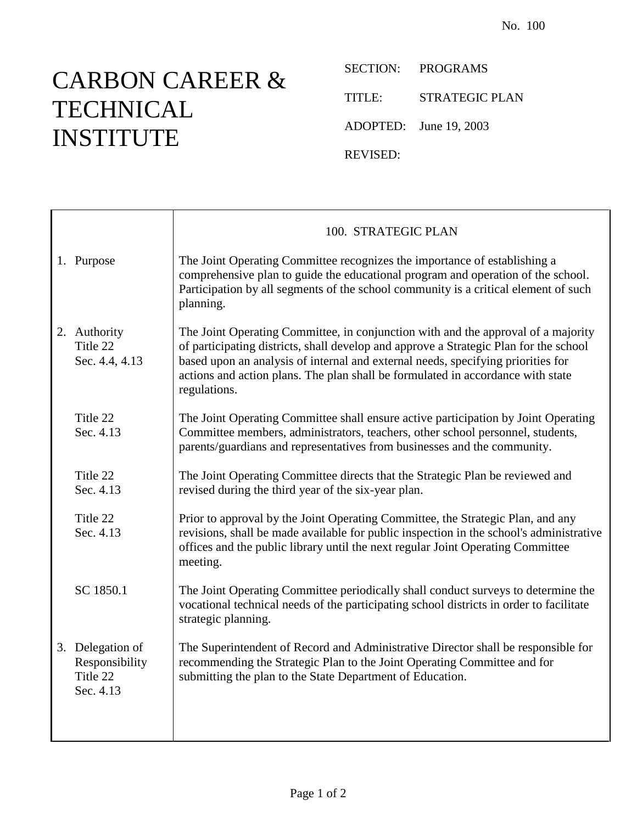## CARBON CAREER & **TECHNICAL** INSTITUTE

SECTION: PROGRAMS TITLE: STRATEGIC PLAN ADOPTED: June 19, 2003 REVISED:

|                                                             | 100. STRATEGIC PLAN                                                                                                                                                                                                                                                                                                                                               |
|-------------------------------------------------------------|-------------------------------------------------------------------------------------------------------------------------------------------------------------------------------------------------------------------------------------------------------------------------------------------------------------------------------------------------------------------|
| 1. Purpose                                                  | The Joint Operating Committee recognizes the importance of establishing a<br>comprehensive plan to guide the educational program and operation of the school.<br>Participation by all segments of the school community is a critical element of such<br>planning.                                                                                                 |
| 2. Authority<br>Title 22<br>Sec. 4.4, 4.13                  | The Joint Operating Committee, in conjunction with and the approval of a majority<br>of participating districts, shall develop and approve a Strategic Plan for the school<br>based upon an analysis of internal and external needs, specifying priorities for<br>actions and action plans. The plan shall be formulated in accordance with state<br>regulations. |
| Title 22<br>Sec. 4.13                                       | The Joint Operating Committee shall ensure active participation by Joint Operating<br>Committee members, administrators, teachers, other school personnel, students,<br>parents/guardians and representatives from businesses and the community.                                                                                                                  |
| Title 22<br>Sec. 4.13                                       | The Joint Operating Committee directs that the Strategic Plan be reviewed and<br>revised during the third year of the six-year plan.                                                                                                                                                                                                                              |
| Title 22<br>Sec. 4.13                                       | Prior to approval by the Joint Operating Committee, the Strategic Plan, and any<br>revisions, shall be made available for public inspection in the school's administrative<br>offices and the public library until the next regular Joint Operating Committee<br>meeting.                                                                                         |
| SC 1850.1                                                   | The Joint Operating Committee periodically shall conduct surveys to determine the<br>vocational technical needs of the participating school districts in order to facilitate<br>strategic planning.                                                                                                                                                               |
| 3. Delegation of<br>Responsibility<br>Title 22<br>Sec. 4.13 | The Superintendent of Record and Administrative Director shall be responsible for<br>recommending the Strategic Plan to the Joint Operating Committee and for<br>submitting the plan to the State Department of Education.                                                                                                                                        |
|                                                             |                                                                                                                                                                                                                                                                                                                                                                   |